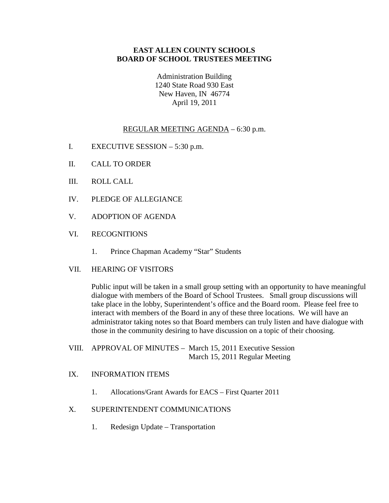## **EAST ALLEN COUNTY SCHOOLS BOARD OF SCHOOL TRUSTEES MEETING**

Administration Building 1240 State Road 930 East New Haven, IN 46774 April 19, 2011

# REGULAR MEETING AGENDA – 6:30 p.m.

- I. EXECUTIVE SESSION 5:30 p.m.
- II. CALL TO ORDER
- III. ROLL CALL
- IV. PLEDGE OF ALLEGIANCE
- V. ADOPTION OF AGENDA
- VI. RECOGNITIONS
	- 1. Prince Chapman Academy "Star" Students
- VII. HEARING OF VISITORS

Public input will be taken in a small group setting with an opportunity to have meaningful dialogue with members of the Board of School Trustees. Small group discussions will take place in the lobby, Superintendent's office and the Board room. Please feel free to interact with members of the Board in any of these three locations. We will have an administrator taking notes so that Board members can truly listen and have dialogue with those in the community desiring to have discussion on a topic of their choosing.

VIII. APPROVAL OF MINUTES – March 15, 2011 Executive Session March 15, 2011 Regular Meeting

#### IX. INFORMATION ITEMS

1. Allocations/Grant Awards for EACS – First Quarter 2011

#### X. SUPERINTENDENT COMMUNICATIONS

1. Redesign Update – Transportation